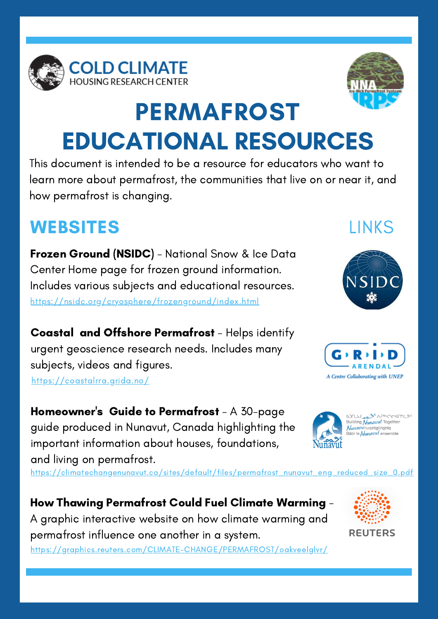



## PERMAFROST EDUCATIONAL RESOURCES

This document is intended to be a resource for educators who want to learn more about permafrost, the communities that live on or near it, and how permafrost is changing.

## WEBSITES

Frozen Ground (NSIDC) - National Snow & Ice Data Center Home page for frozen ground information. Includes various subjects and educational resources. https://nsidc.org/cryosphere/frozenground/index.html

Coastal and Offshore Permafrost - Helps identify urgent geoscience research needs. Includes many subjects, videos and figures. https://coastalrra.grida.no/

Homeowner's Guide to Permafrost - A 30-page guide produced in Nunavut, Canada highlighting the important information about houses, foundations, and living on permafrost.

https://climatechangenunavut.ca/sites/default/files/permafrost\_nunavut\_eng\_reduced\_size\_0.pdf

How Thawing Permafrost Could Fuel Climate Warming - A graphic interactive website on how climate warming and permafrost influence one another in a system. https://graphics.reuters.com/CLIMATE-CHANGE/PERMAFROST/oakveelglvr/



## LINKS